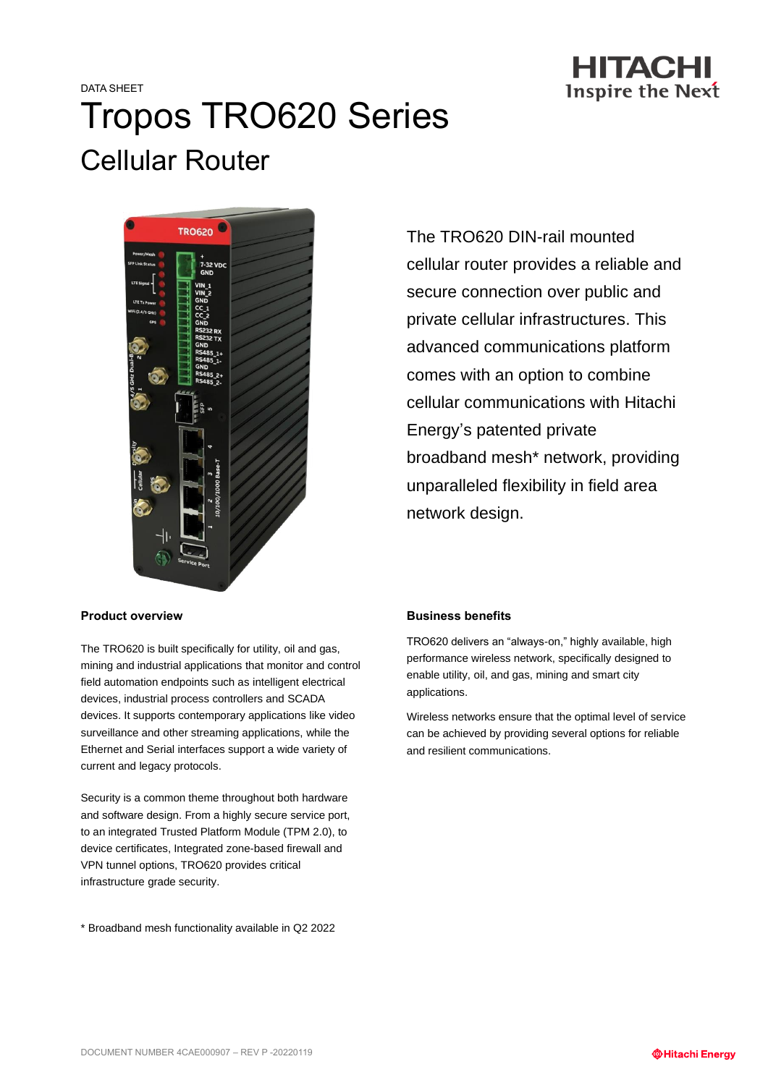

# DATA SHEET Tropos TRO620 Series Cellular Router



The TRO620 DIN-rail mounted cellular router provides a reliable and secure connection over public and private cellular infrastructures. This advanced communications platform comes with an option to combine cellular communications with Hitachi Energy's patented private broadband mesh\* network, providing unparalleled flexibility in field area network design.

#### **Product overview**

The TRO620 is built specifically for utility, oil and gas, mining and industrial applications that monitor and control field automation endpoints such as intelligent electrical devices, industrial process controllers and SCADA devices. It supports contemporary applications like video surveillance and other streaming applications, while the Ethernet and Serial interfaces support a wide variety of current and legacy protocols.

Security is a common theme throughout both hardware and software design. From a highly secure service port, to an integrated Trusted Platform Module (TPM 2.0), to device certificates, Integrated zone-based firewall and VPN tunnel options, TRO620 provides critical infrastructure grade security.

\* Broadband mesh functionality available in Q2 2022

#### **Business benefits**

TRO620 delivers an "always-on," highly available, high performance wireless network, specifically designed to enable utility, oil, and gas, mining and smart city applications.

Wireless networks ensure that the optimal level of service can be achieved by providing several options for reliable and resilient communications.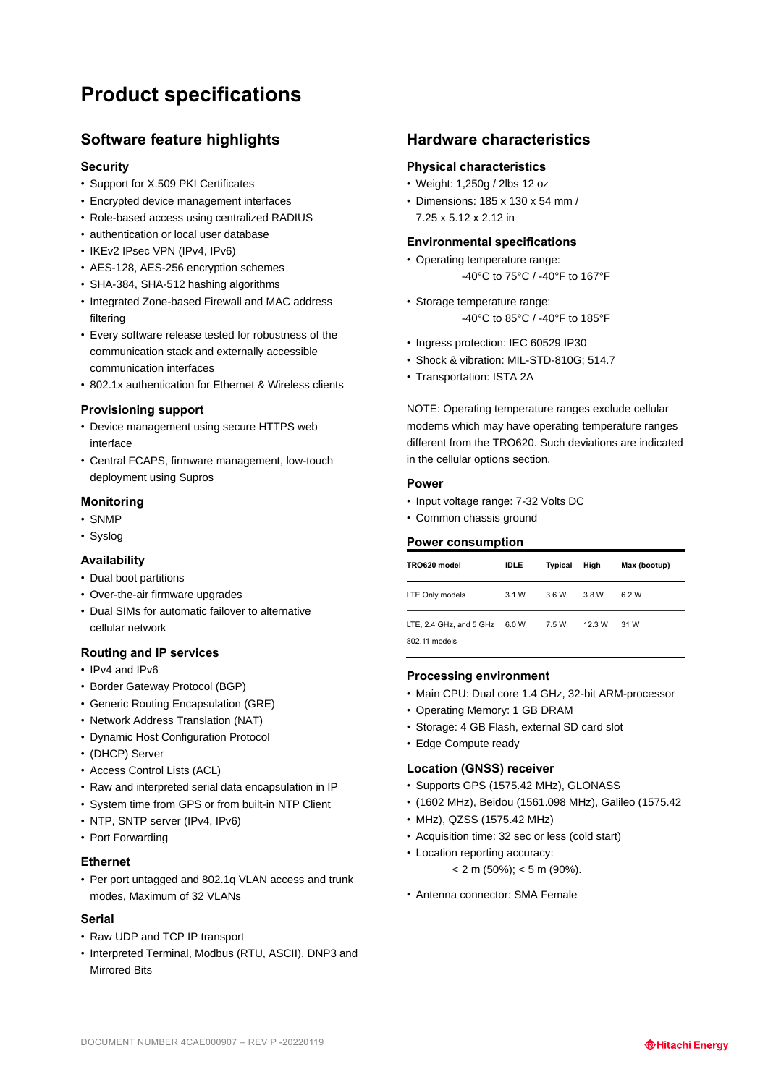# **Product specifications**

# **Software feature highlights**

#### **Security**

- Support for X.509 PKI Certificates
- Encrypted device management interfaces
- Role-based access using centralized RADIUS
- authentication or local user database
- IKEv2 IPsec VPN (IPv4, IPv6)
- AES-128, AES-256 encryption schemes
- SHA-384, SHA-512 hashing algorithms
- Integrated Zone-based Firewall and MAC address filtering
- Every software release tested for robustness of the communication stack and externally accessible communication interfaces
- 802.1x authentication for Ethernet & Wireless clients

#### **Provisioning support**

- Device management using secure HTTPS web interface
- Central FCAPS, firmware management, low-touch deployment using Supros

#### **Monitoring**

- SNMP
- Syslog

#### **Availability**

- Dual boot partitions
- Over-the-air firmware upgrades
- Dual SIMs for automatic failover to alternative cellular network

#### **Routing and IP services**

- IPv4 and IPv6
- Border Gateway Protocol (BGP)
- Generic Routing Encapsulation (GRE)
- Network Address Translation (NAT)
- Dynamic Host Configuration Protocol
- (DHCP) Server
- Access Control Lists (ACL)
- Raw and interpreted serial data encapsulation in IP
- System time from GPS or from built-in NTP Client
- NTP, SNTP server (IPv4, IPv6)
- Port Forwarding

#### **Ethernet**

• Per port untagged and 802.1q VLAN access and trunk modes, Maximum of 32 VLANs

#### **Serial**

- Raw UDP and TCP IP transport
- Interpreted Terminal, Modbus (RTU, ASCII), DNP3 and Mirrored Rite

## **Hardware characteristics**

#### **Physical characteristics**

- Weight: 1,250g / 2lbs 12 oz
- Dimensions: 185 x 130 x 54 mm / 7.25 x 5.12 x 2.12 in

#### **Environmental specifications**

- Operating temperature range: -40°C to 75°C / -40°F to 167°F
- Storage temperature range: -40°C to 85°C / -40°F to 185°F
- Ingress protection: IEC 60529 IP30
- Shock & vibration: MIL-STD-810G; 514.7
- Transportation: ISTA 2A

NOTE: Operating temperature ranges exclude cellular modems which may have operating temperature ranges different from the TRO620. Such deviations are indicated in the cellular options section.

#### **Power**

- Input voltage range: 7-32 Volts DC
- Common chassis ground

#### **Power consumption**

| TRO620 model                             | <b>IDLE</b> | <b>Typical</b> | High   | Max (bootup) |
|------------------------------------------|-------------|----------------|--------|--------------|
| LTE Only models                          | 3.1W        | 3.6 W          | 3.8 W  | 6.2 W        |
| LTE, 2.4 GHz, and 5 GHz<br>802.11 models | 6.0 W       | 7.5 W          | 12.3 W | 31 W         |

#### **Processing environment**

- Main CPU: Dual core 1.4 GHz, 32-bit ARM-processor
- Operating Memory: 1 GB DRAM
- Storage: 4 GB Flash, external SD card slot
- Edge Compute ready

#### **Location (GNSS) receiver**

- Supports GPS (1575.42 MHz), GLONASS
- (1602 MHz), Beidou (1561.098 MHz), Galileo (1575.42
- MHz), QZSS (1575.42 MHz)
- Acquisition time: 32 sec or less (cold start)
- Location reporting accuracy:
	- $< 2 \text{ m } (50\%)$ ;  $< 5 \text{ m } (90\%).$
- Antenna connector: SMA Female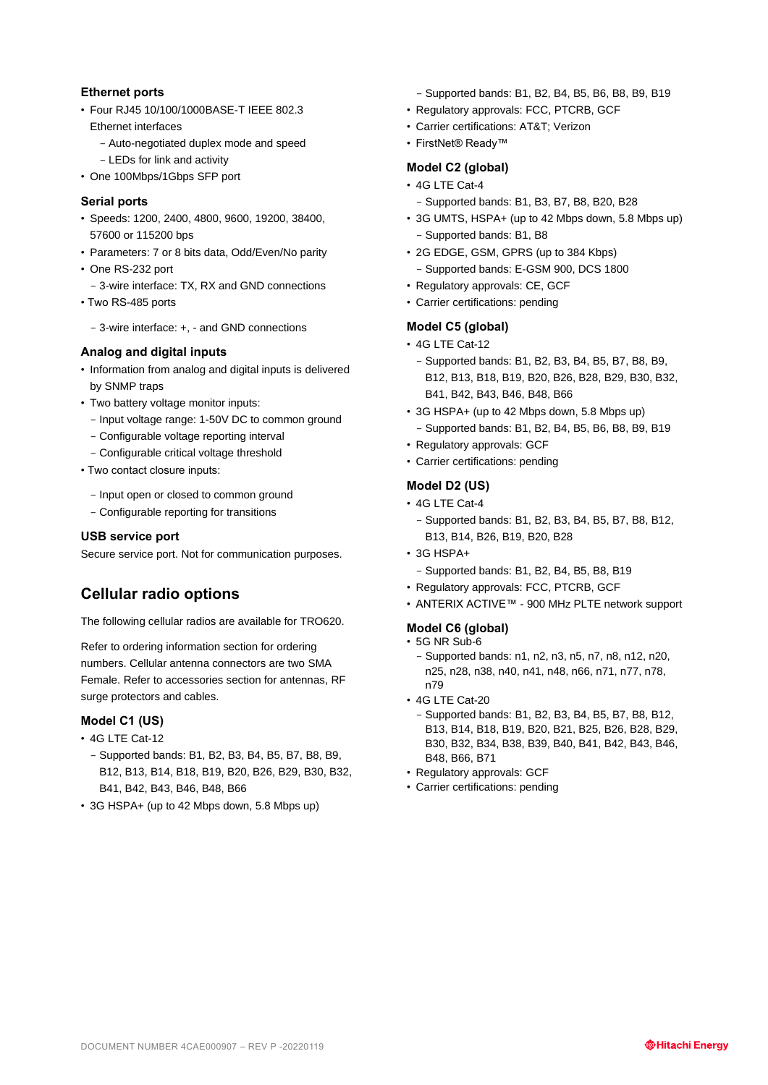#### **Ethernet ports**

- Four RJ45 10/100/1000BASE-T IEEE 802.3
	- Ethernet interfaces - Auto-negotiated duplex mode and speed
		- LEDs for link and activity
- One 100Mbps/1Gbps SFP port

#### **Serial ports**

- Speeds: 1200, 2400, 4800, 9600, 19200, 38400, 57600 or 115200 bps
- Parameters: 7 or 8 bits data, Odd/Even/No parity
- One RS-232 port
	- 3-wire interface: TX, RX and GND connections
- Two RS-485 ports
	- 3-wire interface: +, and GND connections

#### **Analog and digital inputs**

- Information from analog and digital inputs is delivered by SNMP traps
- Two battery voltage monitor inputs:
	- Input voltage range: 1-50V DC to common ground
	- Configurable voltage reporting interval
	- Configurable critical voltage threshold
- Two contact closure inputs:
	- Input open or closed to common ground
	- Configurable reporting for transitions

#### **USB service port**

Secure service port. Not for communication purposes.

# **Cellular radio options**

The following cellular radios are available for TRO620.

Refer to ordering information section for ordering numbers. Cellular antenna connectors are two SMA Female. Refer to accessories section for antennas, RF surge protectors and cables.

#### **Model C1 (US)**

- 4G LTE Cat-12
	- Supported bands: B1, B2, B3, B4, B5, B7, B8, B9, B12, B13, B14, B18, B19, B20, B26, B29, B30, B32, B41, B42, B43, B46, B48, B66
- 3G HSPA+ (up to 42 Mbps down, 5.8 Mbps up)
- Supported bands: B1, B2, B4, B5, B6, B8, B9, B19
- Regulatory approvals: FCC, PTCRB, GCF
- Carrier certifications: AT&T; Verizon
- FirstNet® Ready™

### **Model C2 (global)**

- 4G LTE Cat-4
	- Supported bands: B1, B3, B7, B8, B20, B28
- 3G UMTS, HSPA+ (up to 42 Mbps down, 5.8 Mbps up) - Supported bands: B1, B8
- 2G EDGE, GSM, GPRS (up to 384 Kbps) - Supported bands: E-GSM 900, DCS 1800
- Regulatory approvals: CE, GCF
- Carrier certifications: pending

#### **Model C5 (global)**

- 4G LTE Cat-12
	- Supported bands: B1, B2, B3, B4, B5, B7, B8, B9, B12, B13, B18, B19, B20, B26, B28, B29, B30, B32, B41, B42, B43, B46, B48, B66
- 3G HSPA+ (up to 42 Mbps down, 5.8 Mbps up) - Supported bands: B1, B2, B4, B5, B6, B8, B9, B19
- Regulatory approvals: GCF
- Carrier certifications: pending

#### **Model D2 (US)**

- 4G LTE Cat-4
	- Supported bands: B1, B2, B3, B4, B5, B7, B8, B12, B13, B14, B26, B19, B20, B28
- 3G HSPA+
	- Supported bands: B1, B2, B4, B5, B8, B19
- Regulatory approvals: FCC, PTCRB, GCF
- ANTERIX ACTIVE™ 900 MHz PLTE network support

#### **Model C6 (global)**

- 5G NR Sub-6
- Supported bands: n1, n2, n3, n5, n7, n8, n12, n20, n25, n28, n38, n40, n41, n48, n66, n71, n77, n78, n79
- 4G LTE Cat-20
	- Supported bands: B1, B2, B3, B4, B5, B7, B8, B12, B13, B14, B18, B19, B20, B21, B25, B26, B28, B29, B30, B32, B34, B38, B39, B40, B41, B42, B43, B46, B48, B66, B71
- Regulatory approvals: GCF
- Carrier certifications: pending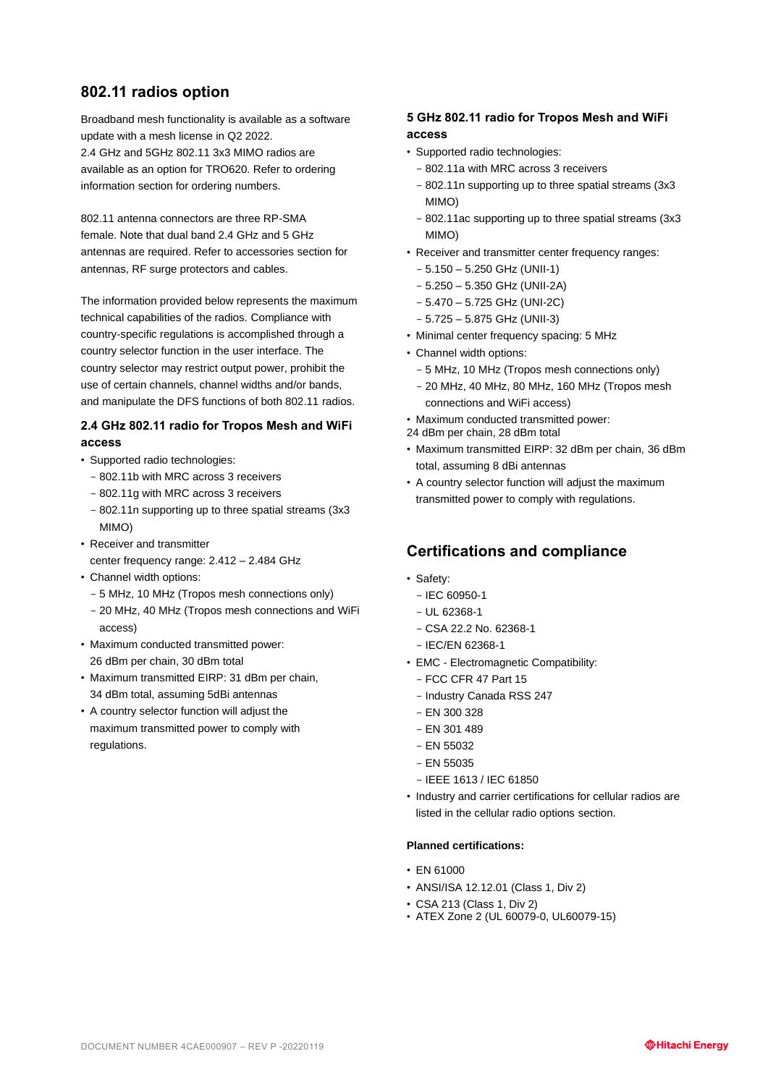## **802.11 radios option**

Broadband mesh functionality is available as a software update with a mesh license in Q2 2022. 2.4 GHz and 5GHz 802.11 3x3 MIMO radios are available as an option for TRO620. Refer to ordering information section for ordering numbers.

802.11 antenna connectors are three RP-SMA female. Note that dual band 2.4 GHz and 5 GHz antennas are required. Refer to accessories section for antennas, RF surge protectors and cables.

The information provided below represents the maximum technical capabilities of the radios. Compliance with country-specific regulations is accomplished through a country selector function in the user interface. The country selector may restrict output power, prohibit the use of certain channels, channel widths and/or bands, and manipulate the DFS functions of both 802.11 radios.

### **2.4 GHz 802.11 radio for Tropos Mesh and WiFi access**

- Supported radio technologies:
	- 802.11b with MRC across 3 receivers
	- 802.11g with MRC across 3 receivers
	- 802.11n supporting up to three spatial streams (3x3 MIMO)
- Receiver and transmitter center frequency range: 2.412 – 2.484 GHz
- Channel width options:
- 5 MHz, 10 MHz (Tropos mesh connections only)
- 20 MHz, 40 MHz (Tropos mesh connections and WiFi access)
- Maximum conducted transmitted power: 26 dBm per chain, 30 dBm total
- Maximum transmitted EIRP: 31 dBm per chain, 34 dBm total, assuming 5dBi antennas
- A country selector function will adjust the maximum transmitted power to comply with regulations.

#### **5 GHz 802.11 radio for Tropos Mesh and WiFi access**

- Supported radio technologies:
	- 802.11a with MRC across 3 receivers
	- 802.11n supporting up to three spatial streams (3x3 MIMO)
	- 802.11ac supporting up to three spatial streams (3x3 MIMO)
- Receiver and transmitter center frequency ranges:
	- 5.150 5.250 GHz (UNII-1)
	- 5.250 5.350 GHz (UNII-2A)
	- 5.470 5.725 GHz (UNI-2C)
- 5.725 5.875 GHz (UNII-3)
- Minimal center frequency spacing: 5 MHz
- Channel width options:
	- 5 MHz, 10 MHz (Tropos mesh connections only)
	- 20 MHz, 40 MHz, 80 MHz, 160 MHz (Tropos mesh connections and WiFi access)
- Maximum conducted transmitted power:
- 24 dBm per chain, 28 dBm total
- Maximum transmitted EIRP: 32 dBm per chain, 36 dBm total, assuming 8 dBi antennas
- A country selector function will adjust the maximum transmitted power to comply with regulations.

# **Certifications and compliance**

- Safety:
	- $-$  IEC 60950-1
	- $-$  UL 62368-1
	- CSA 22.2 No. 62368-1
	- IEC/EN 62368-1
- EMC Electromagnetic Compatibility:
	- FCC CFR 47 Part 15
	- Industry Canada RSS 247
	- EN 300 328
	- EN 301 489
	- $-$  EN 55032
	- $-$  EN 55035
	- IEEE 1613 / IEC 61850
- Industry and carrier certifications for cellular radios are listed in the cellular radio options section.

#### **Planned certifications:**

- EN 61000
- ANSI/ISA 12.12.01 (Class 1, Div 2)
- CSA 213 (Class 1, Div 2)
- ATEX Zone 2 (UL 60079-0, UL60079-15)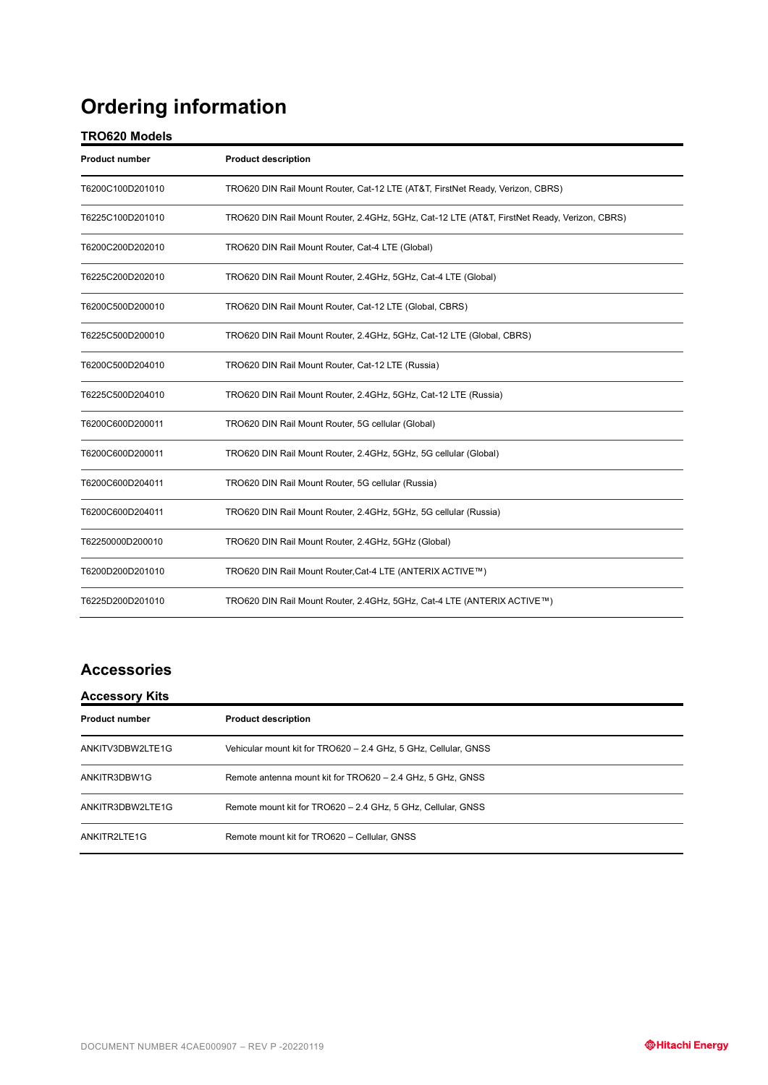# **Ordering information**

# **TRO620 Models**

| <b>Product number</b> | <b>Product description</b>                                                                   |
|-----------------------|----------------------------------------------------------------------------------------------|
| T6200C100D201010      | TRO620 DIN Rail Mount Router, Cat-12 LTE (AT&T, FirstNet Ready, Verizon, CBRS)               |
| T6225C100D201010      | TRO620 DIN Rail Mount Router, 2.4GHz, 5GHz, Cat-12 LTE (AT&T, FirstNet Ready, Verizon, CBRS) |
| T6200C200D202010      | TRO620 DIN Rail Mount Router, Cat-4 LTE (Global)                                             |
| T6225C200D202010      | TRO620 DIN Rail Mount Router, 2.4GHz, 5GHz, Cat-4 LTE (Global)                               |
| T6200C500D200010      | TRO620 DIN Rail Mount Router, Cat-12 LTE (Global, CBRS)                                      |
| T6225C500D200010      | TRO620 DIN Rail Mount Router, 2.4GHz, 5GHz, Cat-12 LTE (Global, CBRS)                        |
| T6200C500D204010      | TRO620 DIN Rail Mount Router, Cat-12 LTE (Russia)                                            |
| T6225C500D204010      | TRO620 DIN Rail Mount Router, 2.4GHz, 5GHz, Cat-12 LTE (Russia)                              |
| T6200C600D200011      | TRO620 DIN Rail Mount Router, 5G cellular (Global)                                           |
| T6200C600D200011      | TRO620 DIN Rail Mount Router, 2.4GHz, 5GHz, 5G cellular (Global)                             |
| T6200C600D204011      | TRO620 DIN Rail Mount Router, 5G cellular (Russia)                                           |
| T6200C600D204011      | TRO620 DIN Rail Mount Router, 2.4GHz, 5GHz, 5G cellular (Russia)                             |
| T62250000D200010      | TRO620 DIN Rail Mount Router, 2.4GHz, 5GHz (Global)                                          |
| T6200D200D201010      | TRO620 DIN Rail Mount Router, Cat-4 LTE (ANTERIX ACTIVE™)                                    |
| T6225D200D201010      | TRO620 DIN Rail Mount Router, 2.4GHz, 5GHz, Cat-4 LTE (ANTERIX ACTIVE™)                      |

# **Accessories**

| <b>Accessory Kits</b> |                                                                 |  |
|-----------------------|-----------------------------------------------------------------|--|
| <b>Product number</b> | <b>Product description</b>                                      |  |
| ANKITV3DBW2LTE1G      | Vehicular mount kit for TRO620 - 2.4 GHz, 5 GHz, Cellular, GNSS |  |
| ANKITR3DBW1G          | Remote antenna mount kit for TRO620 - 2.4 GHz, 5 GHz, GNSS      |  |
| ANKITR3DBW2LTE1G      | Remote mount kit for TRO620 - 2.4 GHz, 5 GHz, Cellular, GNSS    |  |
| ANKITR2LTE1G          | Remote mount kit for TRO620 - Cellular, GNSS                    |  |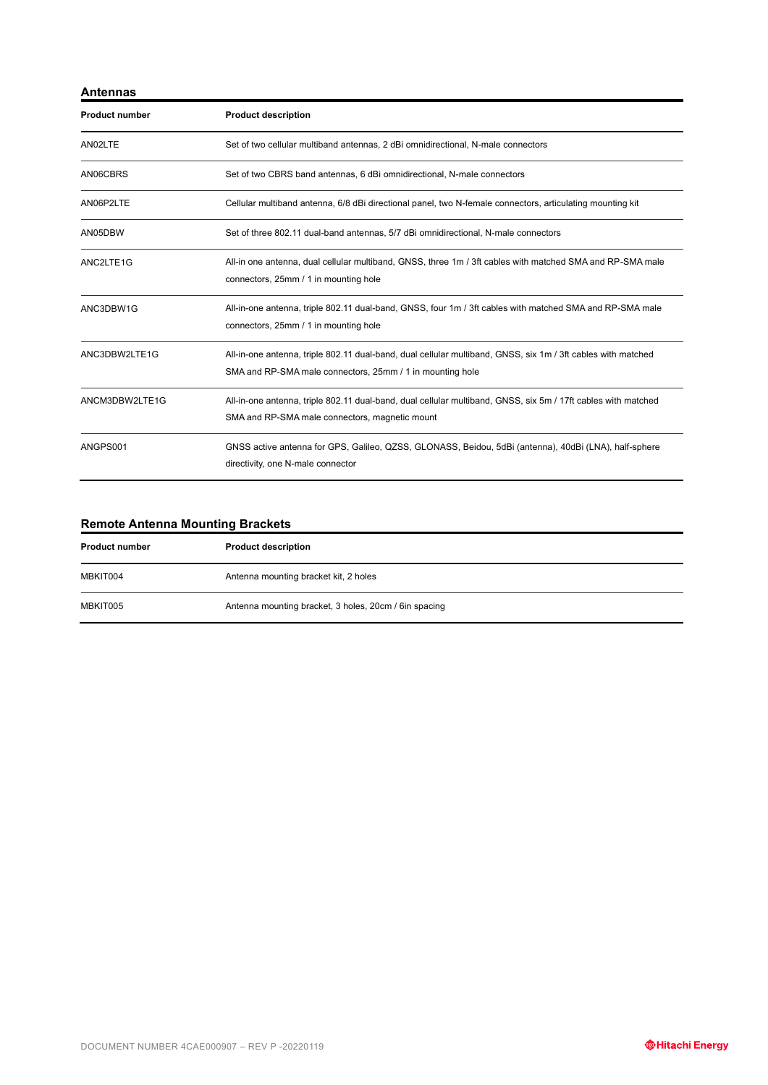| Antennas              |                                                                                                                                                                           |
|-----------------------|---------------------------------------------------------------------------------------------------------------------------------------------------------------------------|
| <b>Product number</b> | <b>Product description</b>                                                                                                                                                |
| AN02LTE               | Set of two cellular multiband antennas, 2 dBi omnidirectional, N-male connectors                                                                                          |
| AN06CBRS              | Set of two CBRS band antennas, 6 dBi omnidirectional, N-male connectors                                                                                                   |
| AN06P2LTE             | Cellular multiband antenna, 6/8 dBi directional panel, two N-female connectors, articulating mounting kit                                                                 |
| AN05DBW               | Set of three 802.11 dual-band antennas, 5/7 dBi omnidirectional, N-male connectors                                                                                        |
| ANC2LTE1G             | All-in one antenna, dual cellular multiband, GNSS, three 1m / 3ft cables with matched SMA and RP-SMA male<br>connectors, 25mm / 1 in mounting hole                        |
| ANC3DBW1G             | All-in-one antenna, triple 802.11 dual-band, GNSS, four 1m / 3ft cables with matched SMA and RP-SMA male<br>connectors, 25mm / 1 in mounting hole                         |
| ANC3DBW2LTE1G         | All-in-one antenna, triple 802.11 dual-band, dual cellular multiband, GNSS, six 1m / 3ft cables with matched<br>SMA and RP-SMA male connectors, 25mm / 1 in mounting hole |
| ANCM3DBW2LTE1G        | All-in-one antenna, triple 802.11 dual-band, dual cellular multiband, GNSS, six 5m / 17ft cables with matched<br>SMA and RP-SMA male connectors, magnetic mount           |
| ANGPS001              | GNSS active antenna for GPS, Galileo, QZSS, GLONASS, Beidou, 5dBi (antenna), 40dBi (LNA), half-sphere<br>directivity, one N-male connector                                |

## **Remote Antenna Mounting Brackets**

| <b>Product number</b> | <b>Product description</b>                            |
|-----------------------|-------------------------------------------------------|
| MBKIT004              | Antenna mounting bracket kit, 2 holes                 |
| MBKIT005              | Antenna mounting bracket, 3 holes, 20cm / 6in spacing |